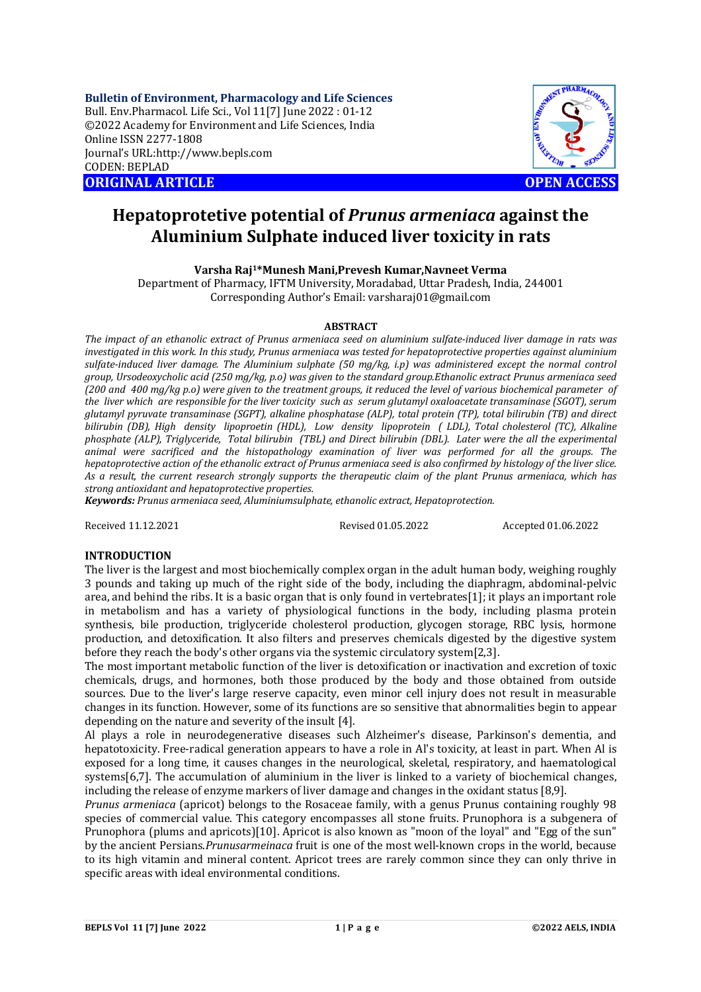**Bulletin of Environment, Pharmacology and Life Sciences** Bull. Env.Pharmacol. Life Sci., Vol 11[7] June 2022 : 01-12 ©2022 Academy for Environment and Life Sciences, India Online ISSN 2277-1808 Journal's URL:<http://www.bepls.com> CODEN: BEPLAD **ORIGINAL ARTICLE OPEN ACCESS** 



# **Hepatoprotetive potential of** *Prunus armeniaca* **against the Aluminium Sulphate induced liver toxicity in rats**

**Varsha Raj1\*Munesh Mani,Prevesh Kumar,Navneet Verma**

Department of Pharmacy, IFTM University, Moradabad, Uttar Pradesh, India, 244001 Corresponding Author's Email: [varsharaj01@gmail.com](mailto:varsharaj01@gmail.com)

### **ABSTRACT**

*The impact of an ethanolic extract of Prunus armeniaca seed on aluminium sulfate-induced liver damage in rats was investigated in this work. In this study, Prunus armeniaca was tested for hepatoprotective properties against aluminium sulfate-induced liver damage. The Aluminium sulphate (50 mg/kg, i.p) was administered except the normal control group, Ursodeoxycholic acid (250 mg/kg, p.o) was given to the standard group.Ethanolic extract Prunus armeniaca seed (200 and 400 mg/kg p.o) were given to the treatment groups, it reduced the level of various biochemical parameter of the liver which are responsible for the liver toxicity such as serum glutamyl oxaloacetate transaminase (SGOT), serum glutamyl pyruvate transaminase (SGPT), alkaline phosphatase (ALP), total protein (TP), total bilirubin (TB) and direct bilirubin (DB), High density lipoproetin (HDL), Low density lipoprotein ( LDL), Total cholesterol (TC), Alkaline phosphate (ALP), Triglyceride, Total bilirubin (TBL) and Direct bilirubin (DBL). Later were the all the experimental animal were sacrificed and the histopathology examination of liver was performed for all the groups. The hepatoprotective action of the ethanolic extract of Prunus armeniaca seed is also confirmed by histology of the liver slice. As a result, the current research strongly supports the therapeutic claim of the plant Prunus armeniaca, which has strong antioxidant and hepatoprotective properties.*

*Keywords: Prunus armeniaca seed, Aluminiumsulphate, ethanolic extract, Hepatoprotection.*

Received 11.12.2021 Revised 01.05.2022 Accepted 01.06.2022

### **INTRODUCTION**

The liver is the largest and most biochemically complex organ in the adult human body, weighing roughly 3 pounds and taking up much of the right side of the body, including the diaphragm, abdominal-pelvic area, and behind the ribs. It is a basic organ that is only found in vertebrates[1]; it plays an important role in metabolism and has a variety of physiological functions in the body, including plasma protein synthesis, bile production, triglyceride cholesterol production, glycogen storage, RBC lysis, hormone production, and detoxification. It also filters and preserves chemicals digested by the digestive system before they reach the body's other organs via the systemic circulatory system[2,3].

The most important metabolic function of the liver is detoxification or inactivation and excretion of toxic chemicals, drugs, and hormones, both those produced by the body and those obtained from outside sources. Due to the liver's large reserve capacity, even minor cell injury does not result in measurable changes in its function. However, some of its functions are so sensitive that abnormalities begin to appear depending on the nature and severity of the insult [4].

Al plays a role in neurodegenerative diseases such Alzheimer's disease, Parkinson's dementia, and hepatotoxicity. Free-radical generation appears to have a role in Al's toxicity, at least in part. When Al is exposed for a long time, it causes changes in the neurological, skeletal, respiratory, and haematological systems[6,7]. The accumulation of aluminium in the liver is linked to a variety of biochemical changes, including the release of enzyme markers of liver damage and changes in the oxidant status [8,9].

*Prunus armeniaca* (apricot) belongs to the Rosaceae family, with a genus Prunus containing roughly 98 species of commercial value. This category encompasses all stone fruits. Prunophora is a subgenera of Prunophora (plums and apricots)[10]. Apricot is also known as "moon of the loyal" and "Egg of the sun" by the ancient Persians.*Prunusarmeinaca* fruit is one of the most well-known crops in the world, because to its high vitamin and mineral content. Apricot trees are rarely common since they can only thrive in specific areas with ideal environmental conditions.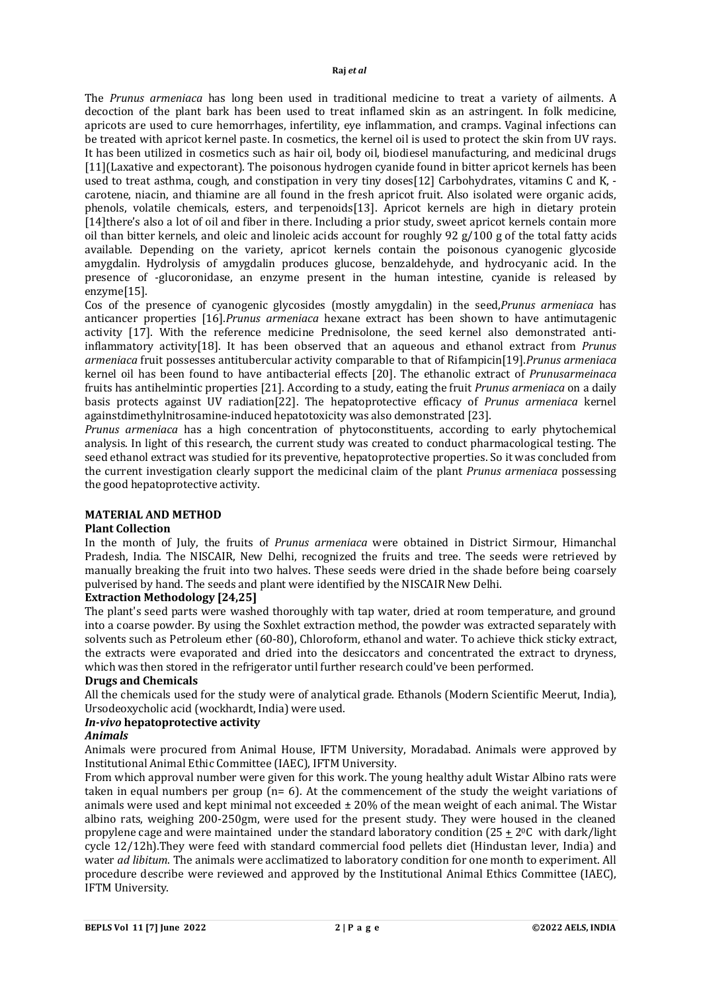The *Prunus armeniaca* has long been used in traditional medicine to treat a variety of ailments. A decoction of the plant bark has been used to treat inflamed skin as an astringent. In folk medicine, apricots are used to cure hemorrhages, infertility, eye inflammation, and cramps. Vaginal infections can be treated with apricot kernel paste. In cosmetics, the kernel oil is used to protect the skin from UV rays. It has been utilized in cosmetics such as hair oil, body oil, biodiesel manufacturing, and medicinal drugs [11](Laxative and expectorant). The poisonous hydrogen cyanide found in bitter apricot kernels has been used to treat asthma, cough, and constipation in very tiny doses[12] Carbohydrates, vitamins C and K, carotene, niacin, and thiamine are all found in the fresh apricot fruit. Also isolated were organic acids, phenols, volatile chemicals, esters, and terpenoids[13]. Apricot kernels are high in dietary protein [14]there's also a lot of oil and fiber in there. Including a prior study, sweet apricot kernels contain more oil than bitter kernels, and oleic and linoleic acids account for roughly 92 g/100 g of the total fatty acids available. Depending on the variety, apricot kernels contain the poisonous cyanogenic glycoside amygdalin. Hydrolysis of amygdalin produces glucose, benzaldehyde, and hydrocyanic acid. In the presence of -glucoronidase, an enzyme present in the human intestine, cyanide is released by enzyme[15].

Cos of the presence of cyanogenic glycosides (mostly amygdalin) in the seed,*Prunus armeniaca* has anticancer properties [16].*Prunus armeniaca* hexane extract has been shown to have antimutagenic activity [17]. With the reference medicine Prednisolone, the seed kernel also demonstrated antiinflammatory activity[18]. It has been observed that an aqueous and ethanol extract from *Prunus armeniaca* fruit possesses antitubercular activity comparable to that of Rifampicin[19].*Prunus armeniaca* kernel oil has been found to have antibacterial effects [20]. The ethanolic extract of *Prunusarmeinaca* fruits has antihelmintic properties [21]. According to a study, eating the fruit *Prunus armeniaca* on a daily basis protects against UV radiation[22]. The hepatoprotective efficacy of *Prunus armeniaca* kernel againstdimethylnitrosamine-induced hepatotoxicity was also demonstrated [23].

*Prunus armeniaca* has a high concentration of phytoconstituents, according to early phytochemical analysis. In light of this research, the current study was created to conduct pharmacological testing. The seed ethanol extract was studied for its preventive, hepatoprotective properties. So it was concluded from the current investigation clearly support the medicinal claim of the plant *Prunus armeniaca* possessing the good hepatoprotective activity.

## **MATERIAL AND METHOD**

### **Plant Collection**

In the month of July, the fruits of *Prunus armeniaca* were obtained in District Sirmour, Himanchal Pradesh, India. The NISCAIR, New Delhi, recognized the fruits and tree. The seeds were retrieved by manually breaking the fruit into two halves. These seeds were dried in the shade before being coarsely pulverised by hand. The seeds and plant were identified by the NISCAIR New Delhi.

### **Extraction Methodology [24,25]**

The plant's seed parts were washed thoroughly with tap water, dried at room temperature, and ground into a coarse powder. By using the Soxhlet extraction method, the powder was extracted separately with solvents such as Petroleum ether (60-80), Chloroform, ethanol and water. To achieve thick sticky extract, the extracts were evaporated and dried into the desiccators and concentrated the extract to dryness, which was then stored in the refrigerator until further research could've been performed.

### **Drugs and Chemicals**

All the chemicals used for the study were of analytical grade. Ethanols (Modern Scientific Meerut, India), Ursodeoxycholic acid (wockhardt, India) were used.

### *In-vivo* **hepatoprotective activity**

### *Animals*

Animals were procured from Animal House, IFTM University, Moradabad. Animals were approved by Institutional Animal Ethic Committee (IAEC), IFTM University.

From which approval number were given for this work. The young healthy adult Wistar Albino rats were taken in equal numbers per group (n= 6). At the commencement of the study the weight variations of animals were used and kept minimal not exceeded ± 20% of the mean weight of each animal. The Wistar albino rats, weighing 200-250gm, were used for the present study. They were housed in the cleaned propylene cage and were maintained under the standard laboratory condition (25 + 20C with dark/light cycle 12/12h).They were feed with standard commercial food pellets diet (Hindustan lever, India) and water *ad libitum*. The animals were acclimatized to laboratory condition for one month to experiment. All procedure describe were reviewed and approved by the Institutional Animal Ethics Committee (IAEC), IFTM University.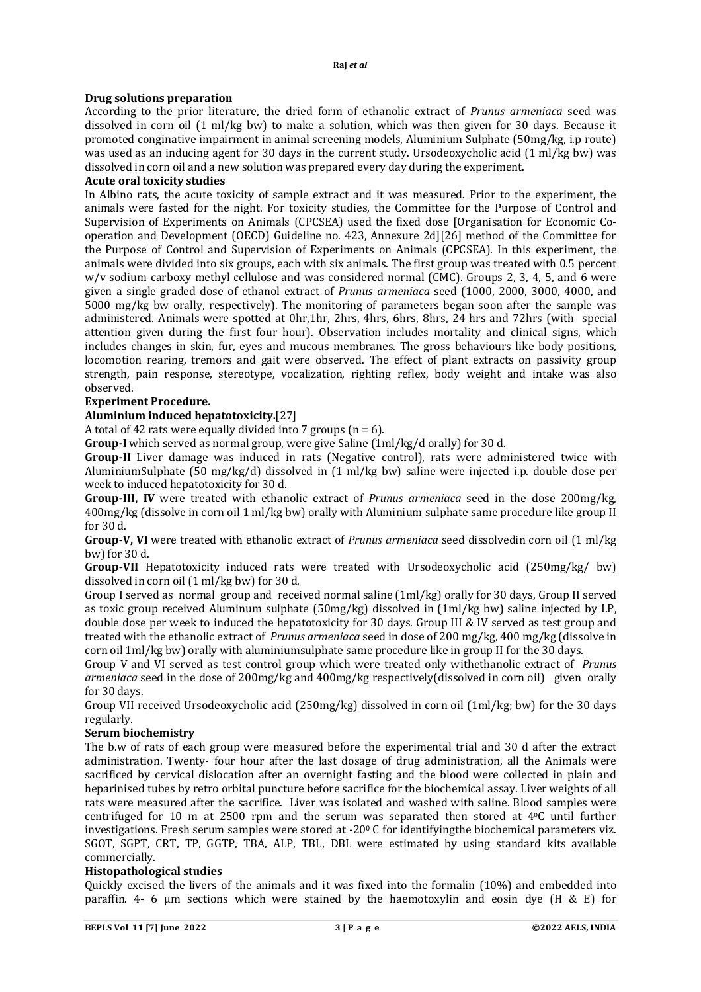### **Drug solutions preparation**

According to the prior literature, the dried form of ethanolic extract of *Prunus armeniaca* seed was dissolved in corn oil (1 ml/kg bw) to make a solution, which was then given for 30 days. Because it promoted conginative impairment in animal screening models, Aluminium Sulphate (50mg/kg, i.p route) was used as an inducing agent for 30 days in the current study. Ursodeoxycholic acid (1 ml/kg bw) was dissolved in corn oil and a new solution was prepared every day during the experiment.

### **Acute oral toxicity studies**

In Albino rats, the acute toxicity of sample extract and it was measured. Prior to the experiment, the animals were fasted for the night. For toxicity studies, the Committee for the Purpose of Control and Supervision of Experiments on Animals (CPCSEA) used the fixed dose [Organisation for Economic Cooperation and Development (OECD) Guideline no. 423, Annexure 2d][26] method of the Committee for the Purpose of Control and Supervision of Experiments on Animals (CPCSEA). In this experiment, the animals were divided into six groups, each with six animals. The first group was treated with 0.5 percent w/v sodium carboxy methyl cellulose and was considered normal (CMC). Groups 2, 3, 4, 5, and 6 were given a single graded dose of ethanol extract of *Prunus armeniaca* seed (1000, 2000, 3000, 4000, and 5000 mg/kg bw orally, respectively). The monitoring of parameters began soon after the sample was administered. Animals were spotted at 0hr,1hr, 2hrs, 4hrs, 6hrs, 8hrs, 24 hrs and 72hrs (with special attention given during the first four hour). Observation includes mortality and clinical signs, which includes changes in skin, fur, eyes and mucous membranes. The gross behaviours like body positions, locomotion rearing, tremors and gait were observed. The effect of plant extracts on passivity group strength, pain response, stereotype, vocalization, righting reflex, body weight and intake was also observed.

### **Experiment Procedure.**

### **Aluminium induced hepatotoxicity.**[27]

A total of 42 rats were equally divided into 7 groups ( $n = 6$ ).

**Group-I** which served as normal group, were give Saline (1ml/kg/d orally) for 30 d.

**Group-II** Liver damage was induced in rats (Negative control), rats were administered twice with AluminiumSulphate (50 mg/kg/d) dissolved in (1 ml/kg bw) saline were injected i.p. double dose per week to induced hepatotoxicity for 30 d.

**Group-III, IV** were treated with ethanolic extract of *Prunus armeniaca* seed in the dose 200mg/kg, 400mg/kg (dissolve in corn oil 1 ml/kg bw) orally with Aluminium sulphate same procedure like group II for 30 d.

**Group-V, VI** were treated with ethanolic extract of *Prunus armeniaca* seed dissolvedin corn oil (1 ml/kg bw) for 30 d.

**Group-VII** Hepatotoxicity induced rats were treated with Ursodeoxycholic acid (250mg/kg/ bw) dissolved in corn oil (1 ml/kg bw) for 30 d.

Group I served as normal group and received normal saline (1ml/kg) orally for 30 days, Group II served as toxic group received Aluminum sulphate (50mg/kg) dissolved in (1ml/kg bw) saline injected by I.P, double dose per week to induced the hepatotoxicity for 30 days. Group III & IV served as test group and treated with the ethanolic extract of *Prunus armeniaca* seed in dose of 200 mg/kg, 400 mg/kg (dissolve in corn oil 1ml/kg bw) orally with aluminiumsulphate same procedure like in group II for the 30 days.

Group V and VI served as test control group which were treated only withethanolic extract of *Prunus armeniaca* seed in the dose of 200mg/kg and 400mg/kg respectively(dissolved in corn oil) given orally for 30 days.

Group VII received Ursodeoxycholic acid (250mg/kg) dissolved in corn oil (1ml/kg; bw) for the 30 days regularly.

### **Serum biochemistry**

The b.w of rats of each group were measured before the experimental trial and 30 d after the extract administration. Twenty- four hour after the last dosage of drug administration, all the Animals were sacrificed by cervical dislocation after an overnight fasting and the blood were collected in plain and heparinised tubes by retro orbital puncture before sacrifice for the biochemical assay. Liver weights of all rats were measured after the sacrifice. Liver was isolated and washed with saline. Blood samples were centrifuged for 10 m at 2500 rpm and the serum was separated then stored at 4oC until further investigations. Fresh serum samples were stored at  $-20^{\circ}$  C for identifying the biochemical parameters viz. SGOT, SGPT, CRT, TP, GGTP, TBA, ALP, TBL, DBL were estimated by using standard kits available commercially.

### **Histopathological studies**

Quickly excised the livers of the animals and it was fixed into the formalin (10%) and embedded into paraffin. 4- 6 μm sections which were stained by the haemotoxylin and eosin dye (H & E) for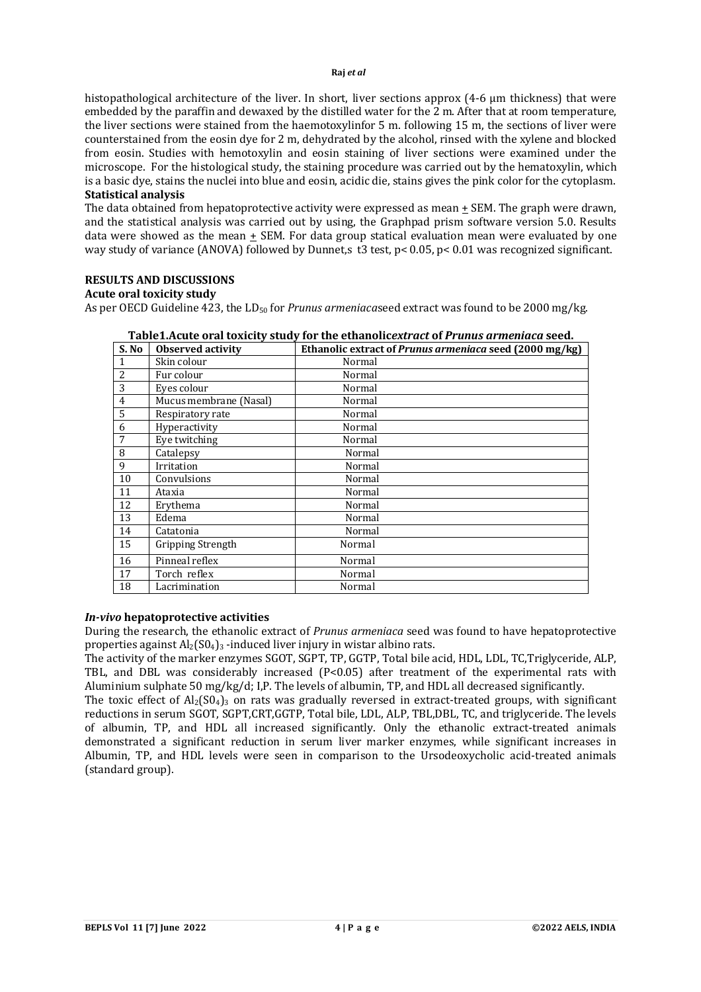histopathological architecture of the liver. In short, liver sections approx (4-6 µm thickness) that were embedded by the paraffin and dewaxed by the distilled water for the 2 m. After that at room temperature, the liver sections were stained from the haemotoxylinfor 5 m. following 15 m, the sections of liver were counterstained from the eosin dye for 2 m, dehydrated by the alcohol, rinsed with the xylene and blocked from eosin. Studies with hemotoxylin and eosin staining of liver sections were examined under the microscope. For the histological study, the staining procedure was carried out by the hematoxylin, which is a basic dye, stains the nuclei into blue and eosin, acidic die, stains gives the pink color for the cytoplasm.

### **Statistical analysis**

The data obtained from hepatoprotective activity were expressed as mean + SEM. The graph were drawn, and the statistical analysis was carried out by using, the Graphpad prism software version 5.0. Results data were showed as the mean + SEM. For data group statical evaluation mean were evaluated by one way study of variance (ANOVA) followed by Dunnet,s t3 test, p< 0.05, p< 0.01 was recognized significant.

### **RESULTS AND DISCUSSIONS**

### **Acute oral toxicity study**

As per OECD Guideline 423, the LD<sup>50</sup> for *Prunus armeniaca*seed extract was found to be 2000 mg/kg.

| S. No | <b>Observed activity</b> | Ethanolic extract of Prunus armeniaca seed (2000 mg/kg) |
|-------|--------------------------|---------------------------------------------------------|
| 1     | Skin colour              | Normal                                                  |
| 2     | Fur colour               | Normal                                                  |
| 3     | Eyes colour              | Normal                                                  |
| 4     | Mucus membrane (Nasal)   | Normal                                                  |
| 5     | Respiratory rate         | Normal                                                  |
| 6     | Hyperactivity            | Normal                                                  |
| 7     | Eye twitching            | Normal                                                  |
| 8     | Catalepsy                | Normal                                                  |
| 9     | Irritation               | Normal                                                  |
| 10    | Convulsions              | Normal                                                  |
| 11    | Ataxia                   | Normal                                                  |
| 12    | Erythema                 | Normal                                                  |
| 13    | Edema                    | Normal                                                  |
| 14    | Catatonia                | Normal                                                  |
| 15    | Gripping Strength        | Normal                                                  |
| 16    | Pinneal reflex           | Normal                                                  |
| 17    | Torch reflex             | Normal                                                  |
| 18    | Lacrimination            | Normal                                                  |

**Table1.Acute oral toxicity study for the ethanolic***extract* **of** *Prunus armeniaca* **seed.**

### *In-vivo* **hepatoprotective activities**

During the research, the ethanolic extract of *Prunus armeniaca* seed was found to have hepatoprotective properties against  $Al_2(S0_4)$ <sub>3</sub> -induced liver injury in wistar albino rats.

The activity of the marker enzymes SGOT, SGPT, TP, GGTP, Total bile acid, HDL, LDL, TC,Triglyceride, ALP, TBL, and DBL was considerably increased (P<0.05) after treatment of the experimental rats with Aluminium sulphate 50 mg/kg/d; I,P. The levels of albumin, TP, and HDL all decreased significantly.

The toxic effect of  $Al_2(S0_4)$ <sub>3</sub> on rats was gradually reversed in extract-treated groups, with significant reductions in serum SGOT, SGPT,CRT,GGTP, Total bile, LDL, ALP, TBL,DBL, TC, and triglyceride. The levels of albumin, TP, and HDL all increased significantly. Only the ethanolic extract-treated animals demonstrated a significant reduction in serum liver marker enzymes, while significant increases in Albumin, TP, and HDL levels were seen in comparison to the Ursodeoxycholic acid-treated animals (standard group).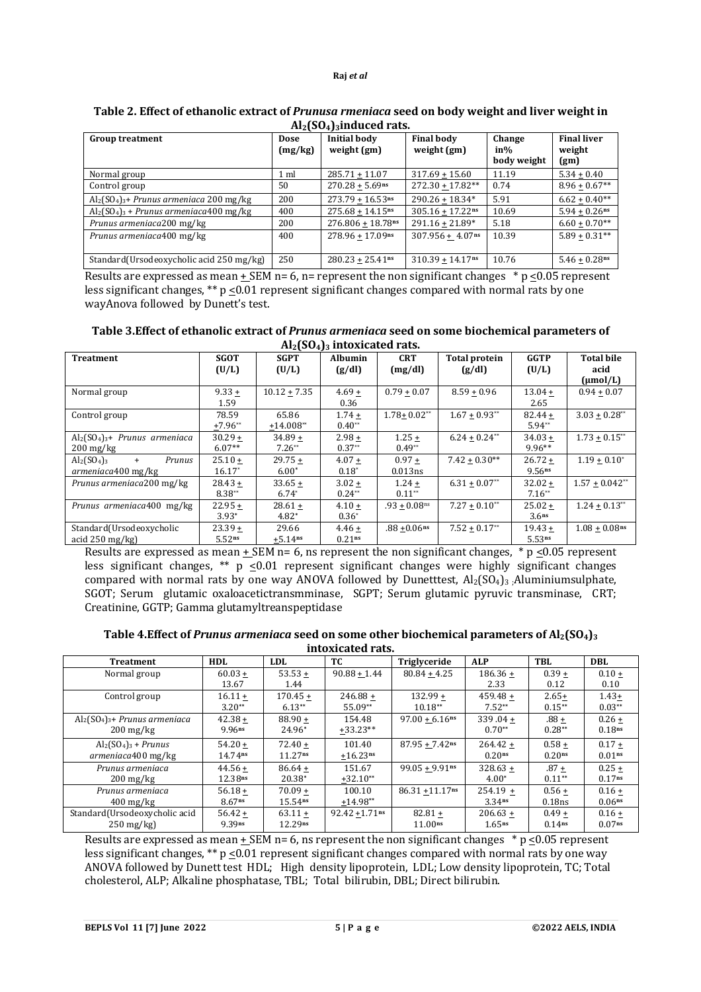| <b>Group treatment</b>                        | Dose<br>(mg/kg) | <b>Initial body</b><br>weight $(gm)$ | <b>Final body</b><br>weight (gm) | Change<br>in%<br>body weight | <b>Final liver</b><br>weight<br>(gm) |
|-----------------------------------------------|-----------------|--------------------------------------|----------------------------------|------------------------------|--------------------------------------|
| Normal group                                  | 1 ml            | $285.71 + 11.07$                     | $317.69 + 15.60$                 | 11.19                        | $5.34 + 0.40$                        |
| Control group                                 | 50              | $270.28 + 5.69$ ns                   | $272.30 + 17.82**$               | 0.74                         | $8.96 + 0.67**$                      |
| $Al_2(SO_4)_{3}$ + Prunus armeniaca 200 mg/kg | 200             | $273.79 + 16.53$ ns                  | $290.26 + 18.34*$                | 5.91                         | $6.62 + 0.40**$                      |
| $Al_2(SO_4)_3 + Prunus armeniaca 400 mg/kg$   | 400             | $275.68 + 14.15$ <sup>ns</sup>       | $305.16 + 17.22$ <sup>ns</sup>   | 10.69                        | $5.94 + 0.26$ ns                     |
| Prunus armeniaca200 mg/kg                     | 200             | $276.806 + 18.78$ ns                 | $291.16 + 21.89*$                | 5.18                         | $6.60 + 0.70**$                      |
| Prunus armeniaca400 mg/kg                     | 400             | $278.96 + 17.09$ ns                  | $307.956 + 4.07$ <sup>ns</sup>   | 10.39                        | $5.89 + 0.31***$                     |
| Standard (Ursodeoxycholic acid 250 mg/kg)     | 250             | $280.23 + 25.41$ ns                  | $310.39 + 14.17$ <sup>ns</sup>   | 10.76                        | $5.46 + 0.28$ ns                     |

### **Table 2. Effect of ethanolic extract of** *Prunusa rmeniaca* **seed on body weight and liver weight in Al2(SO4)3induced rats.**

Results are expressed as mean  $\pm$  SEM n= 6, n= represent the non significant changes  $*$  p  $\leq$ 0.05 represent less significant changes, \*\*  $p \le 0.01$  represent significant changes compared with normal rats by one wayAnova followed by Dunett's test.

#### **Table 3.Effect of ethanolic extract of** *Prunus armeniaca* **seed on some biochemical parameters of Al2(SO4)<sup>3</sup> intoxicated rats.**

| <b>Treatment</b>                    | <b>SGOT</b> | <b>SGPT</b>           | <b>Albumin</b>     | <b>CRT</b>      | <b>Total protein</b> | <b>GGTP</b>        | <b>Total bile</b>    |  |
|-------------------------------------|-------------|-----------------------|--------------------|-----------------|----------------------|--------------------|----------------------|--|
|                                     | (U/L)       | (U/L)                 | (g/dl)             | (mg/dl)         | (g/dl)               | (U/L)              | acid                 |  |
|                                     |             |                       |                    |                 |                      |                    |                      |  |
|                                     |             |                       |                    |                 |                      |                    | $(\mu mol/L)$        |  |
| Normal group                        | $9.33 +$    | $10.12 + 7.35$        | $4.69 +$           | $0.79 + 0.07$   | $8.59 + 0.96$        | $13.04 +$          | $0.94 + 0.07$        |  |
|                                     | 1.59        |                       | 0.36               |                 |                      | 2.65               |                      |  |
| Control group                       | 78.59       | 65.86                 | $1.74 +$           | $1.78 + 0.02**$ | $1.67 + 0.93**$      | $82.44 +$          | $3.03 + 0.28^{**}$   |  |
|                                     | $+7.96**$   | $+14.008**$           | $0.40**$           |                 |                      | $5.94**$           |                      |  |
| $Al_2(SO_4)_{3}$ + Prunus armeniaca | $30.29 +$   | $34.89 +$             | $2.98 +$           | $1.25 +$        | $6.24 + 0.24$ **     | $34.03 +$          | $1.73 + 0.15$ **     |  |
| $200 \frac{\text{mg}}{\text{kg}}$   | $6.07**$    | $7.26**$              | $0.37**$           | $0.49**$        |                      | 9.96**             |                      |  |
| $Al2(SO4)3$<br>Prunus<br>$+$        | $25.10 +$   | $29.75 +$             | $4.07 +$           | $0.97 +$        | $7.42 + 0.30**$      | $26.72 +$          | $1.19 + 0.10^*$      |  |
| armeniaca400 mg/kg                  | $16.17*$    | $6.00*$               | $0.18*$            | 0.013ns         |                      | 9.56 <sup>ns</sup> |                      |  |
| Prunus armeniaca200 mg/kg           | $28.43 +$   | $33.65 +$             | $3.02 +$           | $1.24 +$        | $6.31 + 0.07^{**}$   | $32.02 +$          | $1.57 + 0.042**$     |  |
|                                     | $8.38**$    | $6.74*$               | $0.24**$           | $0.11**$        |                      | $7.16**$           |                      |  |
| Prunus armeniaca400 mg/kg           | $22.95 +$   | $28.61 +$             | $4.10 +$           | $.93 + 0.08$ ns | $7.27 + 0.10^{**}$   | $25.02 +$          | $1.24 \pm 0.13^{**}$ |  |
|                                     | $3.93*$     | $4.82*$               | $0.36*$            |                 |                      | 3.6 <sup>ns</sup>  |                      |  |
| Standard(Ursodeoxycholic            | $23.39 +$   | 29.66                 | $4.46 +$           | $.88 + 0.06$ ns | $7.52 + 0.17**$      | $19.43 +$          | $1.08 + 0.08$ ns     |  |
| acid $250 \text{ mg/kg}$            | 5.52ns      | $+5.14$ <sup>ns</sup> | 0.21 <sub>ns</sub> |                 |                      | 5.53ns             |                      |  |

Results are expressed as mean + SEM n= 6, ns represent the non significant changes,  $*$  p <0.05 represent less significant changes, \*\* p  $\leq 0.01$  represent significant changes were highly significant changes compared with normal rats by one way ANOVA followed by Dunetttest,  $Al_2(SO_4)$ <sub>3</sub> ;Aluminiumsulphate, SGOT; Serum glutamic oxaloacetictransmminase, SGPT; Serum glutamic pyruvic transminase, CRT; Creatinine, GGTP; Gamma glutamyltreanspeptidase

| Table 4. Effect of Prunus armeniaca seed on some other biochemical parameters of $Al_2(SO_4)_3$ |
|-------------------------------------------------------------------------------------------------|
| intoxicated rats.                                                                               |

| mwanan raw.                         |                     |                     |                   |                               |                    |                    |                    |  |  |  |
|-------------------------------------|---------------------|---------------------|-------------------|-------------------------------|--------------------|--------------------|--------------------|--|--|--|
| <b>Treatment</b>                    | <b>HDL</b>          | LDL.                | TC.               | Triglyceride                  | <b>ALP</b>         | <b>TBL</b>         | <b>DBL</b>         |  |  |  |
| Normal group                        | $60.03 +$           | $53.53 +$           | $90.88 + 1.44$    | $80.84 + 4.25$                | $186.36 +$         | $0.39 +$           | $0.10 +$           |  |  |  |
|                                     | 13.67               | 1.44                |                   |                               | 2.33               | 0.12               | 0.10               |  |  |  |
| Control group                       | $16.11 +$           | $170.45 +$          | $246.88 +$        | $132.99 +$                    | $459.48 +$         | $2.65+$            | $1.43+$            |  |  |  |
|                                     | $3.20**$            | $6.13**$            | 55.09**           | $10.18**$                     | $7.52**$           | $0.15***$          | $0.03**$           |  |  |  |
| $Al_2(SO_4)_{3}$ + Prunus armeniaca | $42.38 +$           | $88.90 +$           | 154.48            | $97.00 + 6.16$ <sup>ns</sup>  | $339.04 +$         | $.88 +$            | $0.26 +$           |  |  |  |
| $200 \,\mathrm{mg/kg}$              | 9.96ns              | 24.96*              | $+33.23**$        |                               | $0.70**$           | $0.28**$           | 0.18 <sub>ns</sub> |  |  |  |
| $Al_2(SO_4)_3 + Prunus$             | $54.20 +$           | $72.40 +$           | 101.40            | $87.95 + 7.42$ ns             | $264.42 +$         | $0.58 +$           | $0.17 +$           |  |  |  |
| armeniaca400 mg/kg                  | 14.74 <sub>ns</sub> | 11.27 <sup>ns</sup> | $+16.23$ ns       |                               | 0.20 <sub>ns</sub> | 0.20 <sub>ns</sub> | 0.01 <sub>ns</sub> |  |  |  |
| Prunus armeniaca                    | $44.56 +$           | $86.64 +$           | 151.67            | $99.05 + 9.91$ ns             | $328.63 +$         | $.87 +$            | $0.25 +$           |  |  |  |
| $200 \,\mathrm{mg/kg}$              | 12.38ns             | $20.38*$            | $+32.10**$        |                               | $4.00*$            | $0.11**$           | 0.17ns             |  |  |  |
| Prunus armeniaca                    | $56.18 +$           | $70.09 +$           | 100.10            | $86.31 + 11.17$ <sup>ns</sup> | $254.19 +$         | $0.56 +$           | $0.16 +$           |  |  |  |
| $400 \,\mathrm{mg/kg}$              | 8.67 <sub>ns</sub>  | 15.54 <sup>ns</sup> | $+14.98**$        |                               | 3.34 <sub>ns</sub> | 0.18ns             | 0.06 <sup>ns</sup> |  |  |  |
| Standard(Ursodeoxycholic acid       | $56.42 +$           | $63.11 +$           | $92.42 + 1.71$ ns | $82.81 +$                     | $206.63 +$         | $0.49 +$           | $0.16 +$           |  |  |  |
| $250 \text{ mg/kg}$                 | 9.39ns              | 12.29ns             |                   | 11.00 <sub>ns</sub>           | $1.65$ ns          | 0.14 <sup>ns</sup> | 0.07 <sub>ns</sub> |  |  |  |

Results are expressed as mean  $\pm$  SEM n= 6, ns represent the non significant changes  $*$  p  $\leq$  0.05 represent less significant changes, \*\*  $p \le 0.01$  represent significant changes compared with normal rats by one way ANOVA followed by Dunett test HDL; High density lipoprotein, LDL; Low density lipoprotein, TC; Total cholesterol, ALP; Alkaline phosphatase, TBL; Total bilirubin, DBL; Direct bilirubin.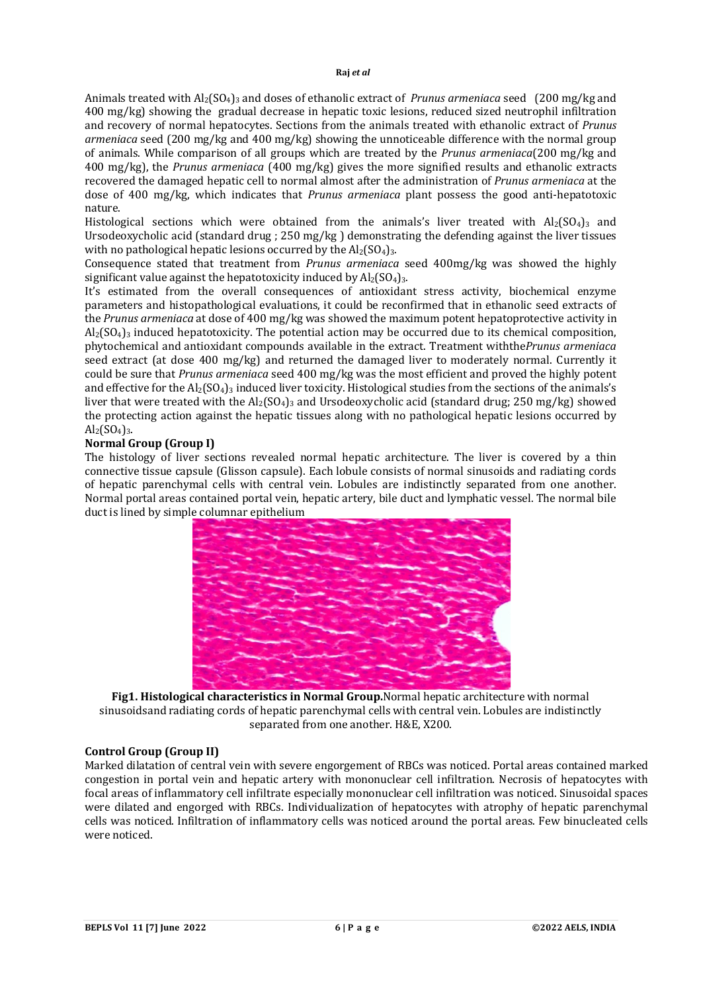Animals treated with Al2(SO4)<sup>3</sup> and doses of ethanolic extract of *Prunus armeniaca* seed (200 mg/kg and 400 mg/kg) showing the gradual decrease in hepatic toxic lesions, reduced sized neutrophil infiltration and recovery of normal hepatocytes. Sections from the animals treated with ethanolic extract of *Prunus armeniaca* seed (200 mg/kg and 400 mg/kg) showing the unnoticeable difference with the normal group of animals. While comparison of all groups which are treated by the *Prunus armeniaca*(200 mg/kg and 400 mg/kg), the *Prunus armeniaca* (400 mg/kg) gives the more signified results and ethanolic extracts recovered the damaged hepatic cell to normal almost after the administration of *Prunus armeniaca* at the dose of 400 mg/kg, which indicates that *Prunus armeniaca* plant possess the good anti-hepatotoxic nature.

Histological sections which were obtained from the animals's liver treated with  $Al_2(SO_4)$ <sub>3</sub> and Ursodeoxycholic acid (standard drug ; 250 mg/kg ) demonstrating the defending against the liver tissues with no pathological hepatic lesions occurred by the  $Al_2(SO_4)_3$ .

Consequence stated that treatment from *Prunus armeniaca* seed 400mg/kg was showed the highly significant value against the hepatotoxicity induced by  $Al_2(SO_4)_{3.}$ .

It's estimated from the overall consequences of antioxidant stress activity, biochemical enzyme parameters and histopathological evaluations, it could be reconfirmed that in ethanolic seed extracts of the *Prunus armeniaca* at dose of 400 mg/kg was showed the maximum potent hepatoprotective activity in  $Al<sub>2</sub>(SO<sub>4</sub>)<sub>3</sub>$  induced hepatotoxicity. The potential action may be occurred due to its chemical composition, phytochemical and antioxidant compounds available in the extract. Treatment withthe*Prunus armeniaca* seed extract (at dose 400 mg/kg) and returned the damaged liver to moderately normal. Currently it could be sure that *Prunus armeniaca* seed 400 mg/kg was the most efficient and proved the highly potent and effective for the  $Al_2(SO_4)$ <sub>3</sub> induced liver toxicity. Histological studies from the sections of the animals's liver that were treated with the  $Al_2(SO_4)_3$  and Ursodeoxycholic acid (standard drug; 250 mg/kg) showed the protecting action against the hepatic tissues along with no pathological hepatic lesions occurred by  $Al<sub>2</sub>(SO<sub>4</sub>)<sub>3</sub>$ .

### **Normal Group (Group I)**

The histology of liver sections revealed normal hepatic architecture. The liver is covered by a thin connective tissue capsule (Glisson capsule). Each lobule consists of normal sinusoids and radiating cords of hepatic parenchymal cells with central vein. Lobules are indistinctly separated from one another. Normal portal areas contained portal vein, hepatic artery, bile duct and lymphatic vessel. The normal bile duct is lined by simple columnar epithelium



**Fig1. Histological characteristics in Normal Group.**Normal hepatic architecture with normal sinusoidsand radiating cords of hepatic parenchymal cells with central vein. Lobules are indistinctly separated from one another. H&E, X200.

### **Control Group (Group II)**

Marked dilatation of central vein with severe engorgement of RBCs was noticed. Portal areas contained marked congestion in portal vein and hepatic artery with mononuclear cell infiltration. Necrosis of hepatocytes with focal areas of inflammatory cell infiltrate especially mononuclear cell infiltration was noticed. Sinusoidal spaces were dilated and engorged with RBCs. Individualization of hepatocytes with atrophy of hepatic parenchymal cells was noticed. Infiltration of inflammatory cells was noticed around the portal areas. Few binucleated cells were noticed.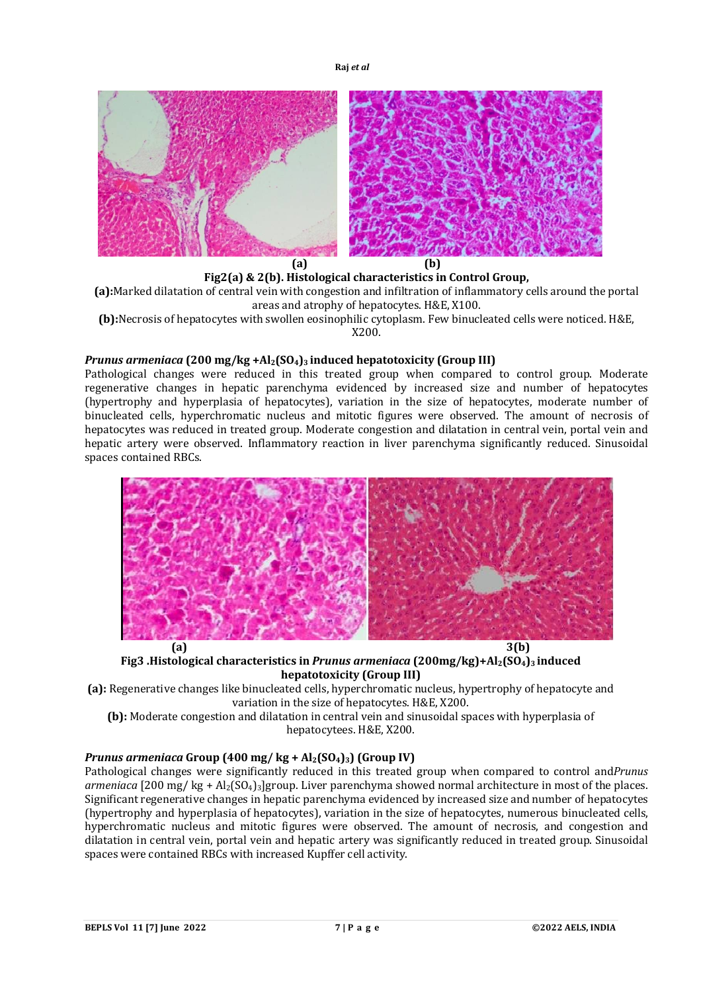

**Fig2(a) & 2(b). Histological characteristics in Control Group, (a):**Marked dilatation of central vein with congestion and infiltration of inflammatory cells around the portal areas and atrophy of hepatocytes. H&E, X100.

**(b):**Necrosis of hepatocytes with swollen eosinophilic cytoplasm. Few binucleated cells were noticed. H&E, X200.

### *Prunus armeniaca* **(200 mg/kg +Al2(SO4)3 induced hepatotoxicity (Group III)**

Pathological changes were reduced in this treated group when compared to control group. Moderate regenerative changes in hepatic parenchyma evidenced by increased size and number of hepatocytes (hypertrophy and hyperplasia of hepatocytes), variation in the size of hepatocytes, moderate number of binucleated cells, hyperchromatic nucleus and mitotic figures were observed. The amount of necrosis of hepatocytes was reduced in treated group. Moderate congestion and dilatation in central vein, portal vein and hepatic artery were observed. Inflammatory reaction in liver parenchyma significantly reduced. Sinusoidal spaces contained RBCs.



**Fig3 .Histological characteristics in** *Prunus armeniaca* **(200mg/kg)+Al2(SO4)3 induced hepatotoxicity (Group III)**

**(a):** Regenerative changes like binucleated cells, hyperchromatic nucleus, hypertrophy of hepatocyte and variation in the size of hepatocytes. H&E, X200.

**(b):** Moderate congestion and dilatation in central vein and sinusoidal spaces with hyperplasia of hepatocytees. H&E, X200.

# *Prunus armeniaca* **Group (400 mg/ kg + Al2(SO4)3) (Group IV)**

Pathological changes were significantly reduced in this treated group when compared to control and*Prunus armeniaca* [200 mg/ kg + Al2(SO4)3]group. Liver parenchyma showed normal architecture in most of the places. Significant regenerative changes in hepatic parenchyma evidenced by increased size and number of hepatocytes (hypertrophy and hyperplasia of hepatocytes), variation in the size of hepatocytes, numerous binucleated cells, hyperchromatic nucleus and mitotic figures were observed. The amount of necrosis, and congestion and dilatation in central vein, portal vein and hepatic artery was significantly reduced in treated group. Sinusoidal spaces were contained RBCs with increased Kupffer cell activity.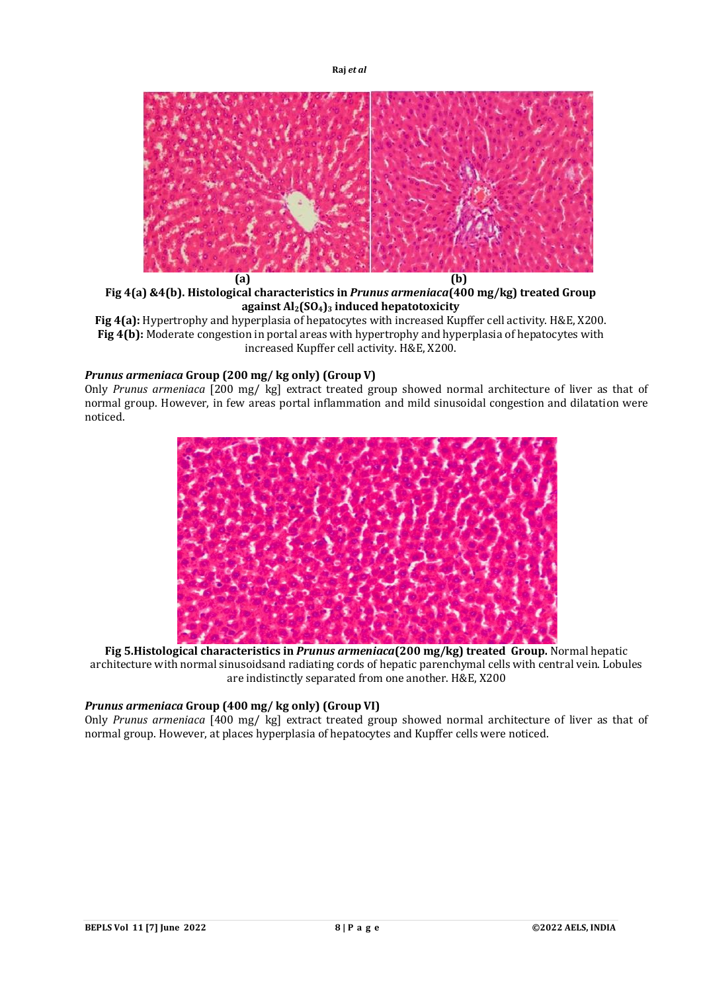

**Fig 4(a) &4(b). Histological characteristics in** *Prunus armeniaca***(400 mg/kg) treated Group against Al2(SO4)<sup>3</sup> induced hepatotoxicity**

**Fig 4(a):** Hypertrophy and hyperplasia of hepatocytes with increased Kupffer cell activity. H&E, X200. **Fig 4(b):** Moderate congestion in portal areas with hypertrophy and hyperplasia of hepatocytes with increased Kupffer cell activity. H&E, X200.

### *Prunus armeniaca* **Group (200 mg/ kg only) (Group V)**

Only *Prunus armeniaca* [200 mg/ kg] extract treated group showed normal architecture of liver as that of normal group. However, in few areas portal inflammation and mild sinusoidal congestion and dilatation were noticed.



**Fig 5.Histological characteristics in** *Prunus armeniaca***(200 mg/kg) treated Group.** Normal hepatic architecture with normal sinusoidsand radiating cords of hepatic parenchymal cells with central vein. Lobules are indistinctly separated from one another. H&E, X200

## *Prunus armeniaca* **Group (400 mg/ kg only) (Group VI)**

Only *Prunus armeniaca* [400 mg/ kg] extract treated group showed normal architecture of liver as that of normal group. However, at places hyperplasia of hepatocytes and Kupffer cells were noticed.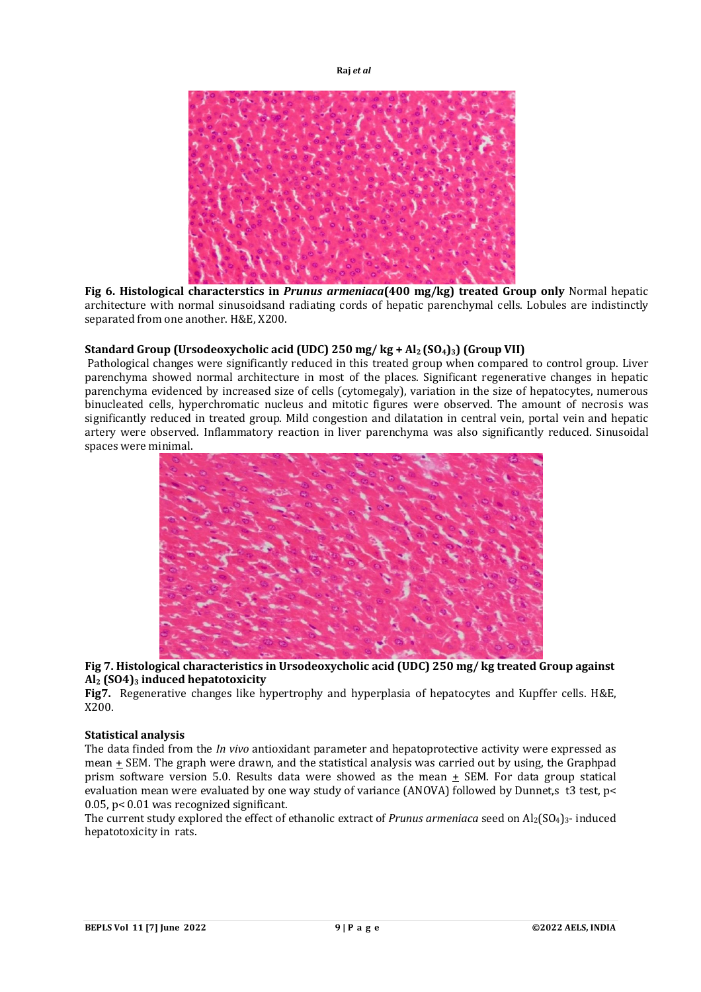

**Fig 6. Histological characterstics in** *Prunus armeniaca***(400 mg/kg) treated Group only** Normal hepatic architecture with normal sinusoidsand radiating cords of hepatic parenchymal cells. Lobules are indistinctly separated from one another. H&E, X200.

### **Standard Group (Ursodeoxycholic acid (UDC) 250 mg/ kg + Al2 (SO4)3) (Group VII)**

Pathological changes were significantly reduced in this treated group when compared to control group. Liver parenchyma showed normal architecture in most of the places. Significant regenerative changes in hepatic parenchyma evidenced by increased size of cells (cytomegaly), variation in the size of hepatocytes, numerous binucleated cells, hyperchromatic nucleus and mitotic figures were observed. The amount of necrosis was significantly reduced in treated group. Mild congestion and dilatation in central vein, portal vein and hepatic artery were observed. Inflammatory reaction in liver parenchyma was also significantly reduced. Sinusoidal spaces were minimal.



**Fig 7. Histological characteristics in Ursodeoxycholic acid (UDC) 250 mg/ kg treated Group against Al<sup>2</sup> (SO4)<sup>3</sup> induced hepatotoxicity**

**Fig7.** Regenerative changes like hypertrophy and hyperplasia of hepatocytes and Kupffer cells. H&E, X200.

### **Statistical analysis**

The data finded from the *In vivo* antioxidant parameter and hepatoprotective activity were expressed as mean  $\pm$  SEM. The graph were drawn, and the statistical analysis was carried out by using, the Graphpad prism software version 5.0. Results data were showed as the mean + SEM. For data group statical evaluation mean were evaluated by one way study of variance (ANOVA) followed by Dunnet, st 3 test, p< 0.05, p< 0.01 was recognized significant.

The current study explored the effect of ethanolic extract of *Prunus armeniaca* seed on Al<sub>2</sub>(SO<sub>4</sub>)<sub>3</sub>- induced hepatotoxicity in rats.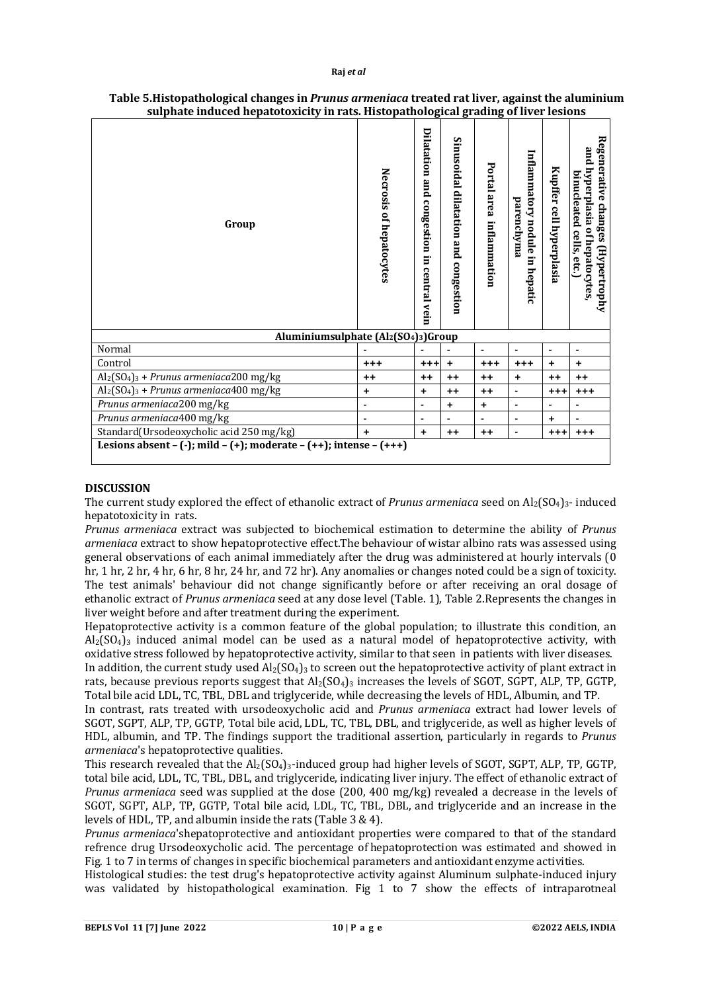| Group                                                              | Necrosis of hepatocytes | Dilatation and congestion in central vein | Sinusoidal dilatation and congestion | Portal area<br>inflammation | Inflammatory nodule in hepatic<br>parenchyma | Kupffer cell hyperplasia | Regenerative changes (Hypertrophy<br>and hyperplasia of hepatocytes<br>binucleated cells, etc.) |  |
|--------------------------------------------------------------------|-------------------------|-------------------------------------------|--------------------------------------|-----------------------------|----------------------------------------------|--------------------------|-------------------------------------------------------------------------------------------------|--|
| Aluminiumsulphate (Al2(SO4)3)Group                                 |                         |                                           |                                      |                             |                                              |                          |                                                                                                 |  |
| Normal                                                             |                         |                                           |                                      | ×,                          | ä,                                           | $\blacksquare$           | $\blacksquare$                                                                                  |  |
| Control                                                            | $^{+++}$                | $^{++}$                                   | $+$                                  | $+ + +$                     | $^{++}$                                      | $\ddot{}$                | $\ddot{}$                                                                                       |  |
| $\text{Al}_2(\text{SO}_4)_3$ + Prunus armeniaca200 mg/kg           | $++$                    | $++$                                      | $++$                                 | $++$                        | $\ddot{}$                                    | $++$                     | $++$                                                                                            |  |
| $Al_2(SO_4)$ <sub>3</sub> + Prunus armeniaca400 mg/kg              | +                       | $\ddot{}$                                 | $++$                                 | $^{++}$                     | $\blacksquare$                               | $+ + +$                  | $^{+++}$                                                                                        |  |
| Prunus armeniaca200 mg/kg                                          | $\blacksquare$          | $\blacksquare$                            | +                                    | ٠                           | ×,                                           | $\blacksquare$           | ٠                                                                                               |  |
| Prunus armeniaca400 mg/kg                                          | $\blacksquare$          | $\blacksquare$                            |                                      | ÷                           | ۰                                            | $+$                      | $\blacksquare$                                                                                  |  |
| Standard(Ursodeoxycholic acid 250 mg/kg)                           | $\ddot{}$               | $\ddot{}$                                 | $++$                                 | $++$                        | ۰                                            | $+ + +$                  | $^{+++}$                                                                                        |  |
| Lesions absent - (-); mild - (+); moderate - (++); intense - (+++) |                         |                                           |                                      |                             |                                              |                          |                                                                                                 |  |

### **Table 5.Histopathological changes in** *Prunus armeniaca* **treated rat liver, against the aluminium sulphate induced hepatotoxicity in rats. Histopathological grading of liver lesions**

### **DISCUSSION**

The current study explored the effect of ethanolic extract of *Prunus armeniaca* seed on Al2(SO4)3- induced hepatotoxicity in rats.

*Prunus armeniaca* extract was subjected to biochemical estimation to determine the ability of *Prunus armeniaca* extract to show hepatoprotective effect.The behaviour of wistar albino rats was assessed using general observations of each animal immediately after the drug was administered at hourly intervals (0 hr, 1 hr, 2 hr, 4 hr, 6 hr, 8 hr, 24 hr, and 72 hr). Any anomalies or changes noted could be a sign of toxicity. The test animals' behaviour did not change significantly before or after receiving an oral dosage of ethanolic extract of *Prunus armeniaca* seed at any dose level (Table. 1), Table 2.Represents the changes in liver weight before and after treatment during the experiment.

Hepatoprotective activity is a common feature of the global population; to illustrate this condition, an  $Al<sub>2</sub>(SO<sub>4</sub>)<sub>3</sub>$  induced animal model can be used as a natural model of hepatoprotective activity, with oxidative stress followed by hepatoprotective activity, similar to that seen in patients with liver diseases.

In addition, the current study used  $Al_2(SO_4)$ <sub>3</sub> to screen out the hepatoprotective activity of plant extract in rats, because previous reports suggest that  $Al_2(SO_4)$ <sub>3</sub> increases the levels of SGOT, SGPT, ALP, TP, GGTP, Total bile acid LDL, TC, TBL, DBL and triglyceride, while decreasing the levels of HDL, Albumin, and TP.

In contrast, rats treated with ursodeoxycholic acid and *Prunus armeniaca* extract had lower levels of SGOT, SGPT, ALP, TP, GGTP, Total bile acid, LDL, TC, TBL, DBL, and triglyceride, as well as higher levels of HDL, albumin, and TP. The findings support the traditional assertion, particularly in regards to *Prunus armeniaca*'s hepatoprotective qualities.

This research revealed that the  $Al_2(SO_4)_{3}$ -induced group had higher levels of SGOT, SGPT, ALP, TP, GGTP, total bile acid, LDL, TC, TBL, DBL, and triglyceride, indicating liver injury. The effect of ethanolic extract of *Prunus armeniaca* seed was supplied at the dose (200, 400 mg/kg) revealed a decrease in the levels of SGOT, SGPT, ALP, TP, GGTP, Total bile acid, LDL, TC, TBL, DBL, and triglyceride and an increase in the levels of HDL, TP, and albumin inside the rats (Table 3 & 4).

*Prunus armeniaca*'shepatoprotective and antioxidant properties were compared to that of the standard refrence drug Ursodeoxycholic acid. The percentage of hepatoprotection was estimated and showed in Fig. 1 to 7 in terms of changes in specific biochemical parameters and antioxidant enzyme activities.

Histological studies: the test drug's hepatoprotective activity against Aluminum sulphate-induced injury was validated by histopathological examination. Fig 1 to 7 show the effects of intraparotneal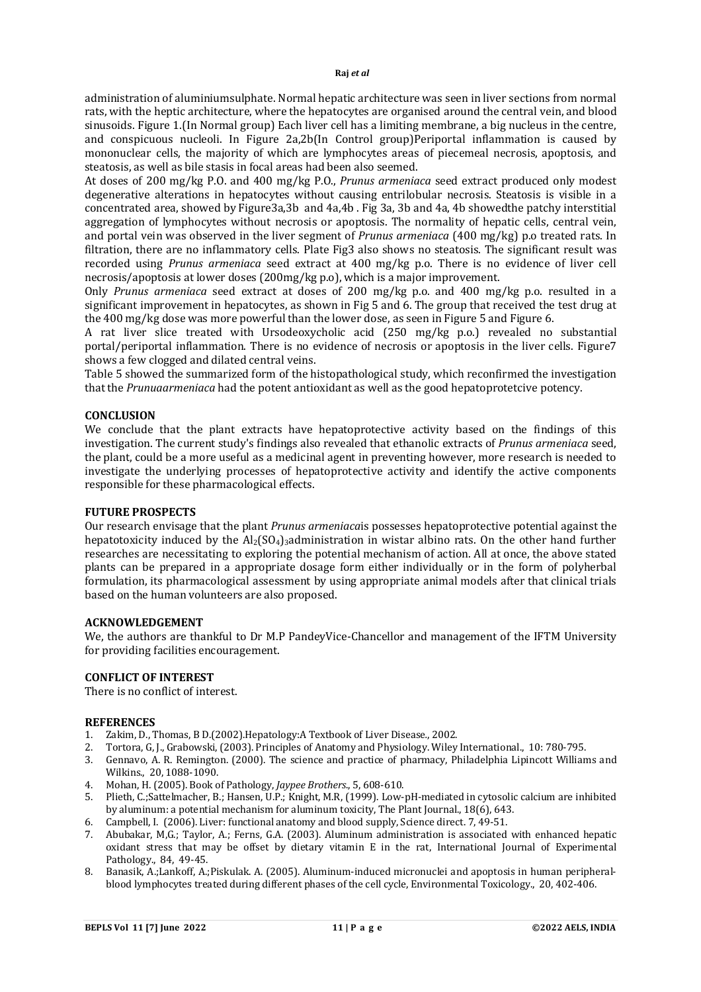administration of aluminiumsulphate. Normal hepatic architecture was seen in liver sections from normal rats, with the heptic architecture, where the hepatocytes are organised around the central vein, and blood sinusoids. Figure 1.(In Normal group) Each liver cell has a limiting membrane, a big nucleus in the centre, and conspicuous nucleoli. In Figure 2a,2b(In Control group)Periportal inflammation is caused by mononuclear cells, the majority of which are lymphocytes areas of piecemeal necrosis, apoptosis, and steatosis, as well as bile stasis in focal areas had been also seemed.

At doses of 200 mg/kg P.O. and 400 mg/kg P.O., *Prunus armeniaca* seed extract produced only modest degenerative alterations in hepatocytes without causing entrilobular necrosis. Steatosis is visible in a concentrated area, showed by Figure3a,3b and 4a,4b . Fig 3a, 3b and 4a, 4b showedthe patchy interstitial aggregation of lymphocytes without necrosis or apoptosis. The normality of hepatic cells, central vein, and portal vein was observed in the liver segment of *Prunus armeniaca* (400 mg/kg) p.o treated rats. In filtration, there are no inflammatory cells. Plate Fig3 also shows no steatosis. The significant result was recorded using *Prunus armeniaca* seed extract at 400 mg/kg p.o. There is no evidence of liver cell necrosis/apoptosis at lower doses (200mg/kg p.o), which is a major improvement.

Only *Prunus armeniaca* seed extract at doses of 200 mg/kg p.o. and 400 mg/kg p.o. resulted in a significant improvement in hepatocytes, as shown in Fig 5 and 6. The group that received the test drug at the 400 mg/kg dose was more powerful than the lower dose, as seen in Figure 5 and Figure 6.

A rat liver slice treated with Ursodeoxycholic acid (250 mg/kg p.o.) revealed no substantial portal/periportal inflammation. There is no evidence of necrosis or apoptosis in the liver cells. Figure7 shows a few clogged and dilated central veins.

Table 5 showed the summarized form of the histopathological study, which reconfirmed the investigation that the *Prunuaarmeniaca* had the potent antioxidant as well as the good hepatoprotetcive potency.

### **CONCLUSION**

We conclude that the plant extracts have hepatoprotective activity based on the findings of this investigation. The current study's findings also revealed that ethanolic extracts of *Prunus armeniaca* seed, the plant, could be a more useful as a medicinal agent in preventing however, more research is needed to investigate the underlying processes of hepatoprotective activity and identify the active components responsible for these pharmacological effects.

### **FUTURE PROSPECTS**

Our research envisage that the plant *Prunus armeniaca*is possesses hepatoprotective potential against the hepatotoxicity induced by the  $Al_2(SO_4)$ <sub>3</sub> administration in wistar albino rats. On the other hand further researches are necessitating to exploring the potential mechanism of action. All at once, the above stated plants can be prepared in a appropriate dosage form either individually or in the form of polyherbal formulation, its pharmacological assessment by using appropriate animal models after that clinical trials based on the human volunteers are also proposed.

### **ACKNOWLEDGEMENT**

We, the authors are thankful to Dr M.P PandeyVice-Chancellor and management of the IFTM University for providing facilities encouragement.

### **CONFLICT OF INTEREST**

There is no conflict of interest.

#### **REFERENCES**

- 1. Zakim, D., Thomas, B D.(2002).Hepatology:A Textbook of Liver Disease*.*, 2002.
- 2. Tortora, G, J., Grabowski, (2003). Principles of Anatomy and Physiology. Wiley International., 10: 780-795.
- 3. Gennavo, A. R. Remington. (2000). The science and practice of pharmacy, Philadelphia Lipincott Williams and Wilkins*.*, 20, 1088-1090.
- 4. Mohan, H. (2005). Book of Pathology, *Jaypee Brothers*., 5, 608-610.
- 5. Plieth, C.;Sattelmacher, B.; Hansen, U.P.; Knight, M.R, (1999). Low-pH-mediated in cytosolic calcium are inhibited by aluminum: a potential mechanism for aluminum toxicity, The Plant Journal., 18(6), 643.
- 6. Campbell, I. (2006). Liver: functional anatomy and blood supply, Science direct. 7, 49-51.
- 7. Abubakar, M,G.; Taylor, A.; Ferns, G.A. (2003). Aluminum administration is associated with enhanced hepatic oxidant stress that may be offset by dietary vitamin E in the rat, International Journal of Experimental Pathology., 84, 49-45.
- 8. Banasik, A.;Lankoff, A.;Piskulak. A. (2005). Aluminum-induced micronuclei and apoptosis in human peripheralblood lymphocytes treated during different phases of the cell cycle, Environmental Toxicology., 20, 402-406.